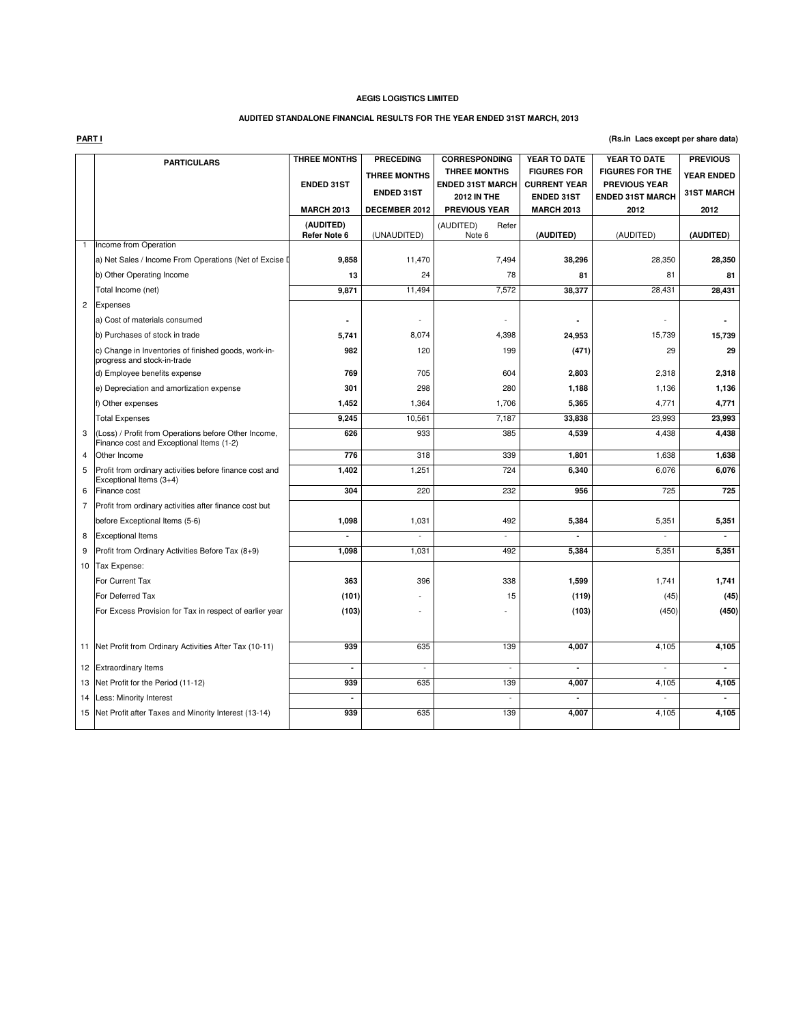# **AUDITED STANDALONE FINANCIAL RESULTS FOR THE YEAR ENDED 31ST MARCH, 2013**

**PART I**

### **(Rs.in Lacs except per share data)**

|                | <b>PARTICULARS</b>                                                                               | <b>THREE MONTHS</b> | <b>PRECEDING</b>    | <b>CORRESPONDING</b>                           | YEAR TO DATE                              | YEAR TO DATE                                   | <b>PREVIOUS</b>   |
|----------------|--------------------------------------------------------------------------------------------------|---------------------|---------------------|------------------------------------------------|-------------------------------------------|------------------------------------------------|-------------------|
|                |                                                                                                  | <b>ENDED 31ST</b>   | <b>THREE MONTHS</b> | <b>THREE MONTHS</b><br><b>ENDED 31ST MARCH</b> | <b>FIGURES FOR</b><br><b>CURRENT YEAR</b> | <b>FIGURES FOR THE</b><br><b>PREVIOUS YEAR</b> | <b>YEAR ENDED</b> |
|                |                                                                                                  |                     | <b>ENDED 31ST</b>   | <b>2012 IN THE</b>                             | <b>ENDED 31ST</b>                         | <b>ENDED 31ST MARCH</b>                        | <b>31ST MARCH</b> |
|                |                                                                                                  | <b>MARCH 2013</b>   | DECEMBER 2012       | <b>PREVIOUS YEAR</b>                           | <b>MARCH 2013</b>                         | 2012                                           | 2012              |
|                |                                                                                                  | (AUDITED)           |                     | (AUDITED)<br>Refer                             |                                           |                                                |                   |
|                | Income from Operation                                                                            | Refer Note 6        | (UNAUDITED)         | Note 6                                         | (AUDITED)                                 | (AUDITED)                                      | (AUDITED)         |
|                | a) Net Sales / Income From Operations (Net of Excise I                                           | 9,858               | 11,470              | 7,494                                          | 38,296                                    | 28,350                                         | 28,350            |
|                |                                                                                                  | 13                  | 24                  | 78                                             | 81                                        | 81                                             | 81                |
|                | b) Other Operating Income                                                                        |                     |                     | 7,572                                          |                                           |                                                |                   |
|                | Total Income (net)                                                                               | 9,871               | 11,494              |                                                | 38,377                                    | 28,431                                         | 28,431            |
| $\overline{c}$ | Expenses                                                                                         |                     |                     |                                                |                                           |                                                |                   |
|                | a) Cost of materials consumed                                                                    | ٠                   | ä,                  |                                                | $\blacksquare$                            |                                                |                   |
|                | b) Purchases of stock in trade                                                                   | 5,741               | 8,074               | 4,398                                          | 24,953                                    | 15,739                                         | 15,739            |
|                | c) Change in Inventories of finished goods, work-in-<br>progress and stock-in-trade              | 982                 | 120                 | 199                                            | (471)                                     | 29                                             | 29                |
|                | d) Employee benefits expense                                                                     | 769                 | 705                 | 604                                            | 2,803                                     | 2,318                                          | 2,318             |
|                | e) Depreciation and amortization expense                                                         | 301                 | 298                 | 280                                            | 1,188                                     | 1,136                                          | 1,136             |
|                | f) Other expenses                                                                                | 1,452               | 1,364               | 1,706                                          | 5,365                                     | 4,771                                          | 4,771             |
|                | <b>Total Expenses</b>                                                                            | 9,245               | 10,561              | 7,187                                          | 33,838                                    | 23,993                                         | 23,993            |
| 3              | (Loss) / Profit from Operations before Other Income,<br>Finance cost and Exceptional Items (1-2) | 626                 | 933                 | 385                                            | 4,539                                     | 4,438                                          | 4,438             |
| 4              | Other Income                                                                                     | 776                 | 318                 | 339                                            | 1,801                                     | 1,638                                          | 1,638             |
| 5              | Profit from ordinary activities before finance cost and<br>Exceptional Items (3+4)               | 1,402               | 1,251               | 724                                            | 6,340                                     | 6,076                                          | 6,076             |
| 6              | Finance cost                                                                                     | 304                 | 220                 | 232                                            | 956                                       | 725                                            | 725               |
| 7              | Profit from ordinary activities after finance cost but                                           |                     |                     |                                                |                                           |                                                |                   |
|                | before Exceptional Items (5-6)                                                                   | 1,098               | 1,031               | 492                                            | 5,384                                     | 5,351                                          | 5,351             |
| 8              | <b>Exceptional Items</b>                                                                         | ä,                  | $\overline{a}$      | $\overline{a}$                                 | ä,                                        | $\overline{a}$                                 | $\blacksquare$    |
| 9              | Profit from Ordinary Activities Before Tax (8+9)                                                 | 1,098               | 1,031               | 492                                            | 5,384                                     | 5,351                                          | 5,351             |
|                | 10 Tax Expense:                                                                                  |                     |                     |                                                |                                           |                                                |                   |
|                | For Current Tax                                                                                  | 363                 | 396                 | 338                                            | 1,599                                     | 1,741                                          | 1,741             |
|                | For Deferred Tax                                                                                 | (101)               |                     | 15                                             | (119)                                     | (45)                                           | (45)              |
|                | For Excess Provision for Tax in respect of earlier year                                          | (103)               |                     |                                                | (103)                                     | (450)                                          | (450)             |
|                |                                                                                                  |                     |                     |                                                |                                           |                                                |                   |
|                | 11 Net Profit from Ordinary Activities After Tax (10-11)                                         | 939                 | 635                 | 139                                            | 4,007                                     | 4,105                                          | 4,105             |
|                | 12 Extraordinary Items                                                                           | ٠                   | ÷,                  | ÷,                                             | ٠                                         | $\overline{a}$                                 | $\overline{a}$    |
|                | 13 Net Profit for the Period (11-12)                                                             | 939                 | 635                 | 139                                            | 4,007                                     | 4,105                                          | 4,105             |
|                | 14 Less: Minority Interest                                                                       |                     |                     |                                                |                                           |                                                | $\blacksquare$    |
|                | 15 Net Profit after Taxes and Minority Interest (13-14)                                          | 939                 | 635                 | 139                                            | 4,007                                     | 4,105                                          | 4,105             |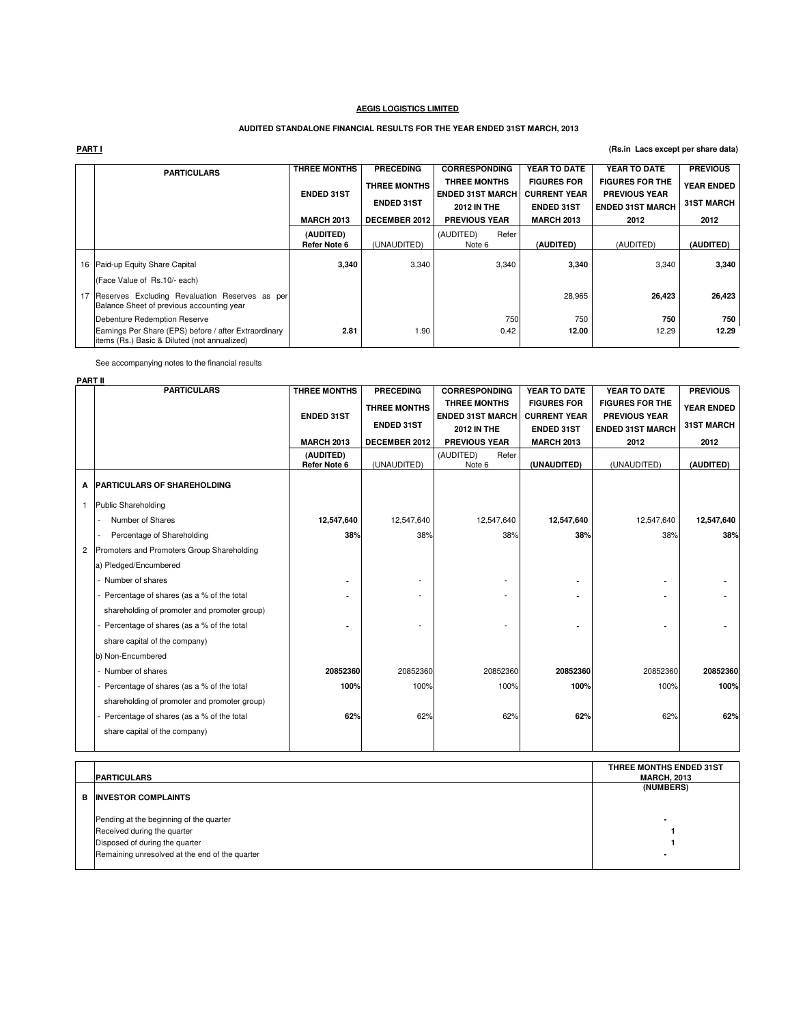# **AUDITED STANDALONE FINANCIAL RESULTS FOR THE YEAR ENDED 31ST MARCH, 2013**

# **PART I**

# **(Rs.in Lacs except per share data)**

|    | <b>PARTICULARS</b>                                                                                                          | <b>THREE MONTHS</b>       | <b>PRECEDING</b>                         | <b>CORRESPONDING</b>                                                 |       | YEAR TO DATE                                                   | YEAR TO DATE                                                              | <b>PREVIOUS</b>                        |
|----|-----------------------------------------------------------------------------------------------------------------------------|---------------------------|------------------------------------------|----------------------------------------------------------------------|-------|----------------------------------------------------------------|---------------------------------------------------------------------------|----------------------------------------|
|    |                                                                                                                             | <b>ENDED 31ST</b>         | <b>THREE MONTHS</b><br><b>ENDED 31ST</b> | <b>THREE MONTHS</b><br><b>ENDED 31ST MARCH</b><br><b>2012 IN THE</b> |       | <b>FIGURES FOR</b><br><b>CURRENT YEAR</b><br><b>ENDED 31ST</b> | <b>FIGURES FOR THE</b><br><b>PREVIOUS YEAR</b><br><b>ENDED 31ST MARCH</b> | <b>YEAR ENDED</b><br><b>31ST MARCH</b> |
|    |                                                                                                                             | <b>MARCH 2013</b>         | DECEMBER 2012                            | <b>PREVIOUS YEAR</b>                                                 |       | <b>MARCH 2013</b>                                              | 2012                                                                      | 2012                                   |
|    |                                                                                                                             | (AUDITED)<br>Refer Note 6 | (UNAUDITED)                              | (AUDITED)<br>Note 6                                                  | Refer | (AUDITED)                                                      | (AUDITED)                                                                 | (AUDITED)                              |
| 16 | Paid-up Equity Share Capital                                                                                                | 3,340                     | 3,340                                    |                                                                      | 3,340 | 3,340                                                          | 3,340                                                                     | 3,340                                  |
| 17 | (Face Value of Rs.10/- each)<br>Reserves Excluding Revaluation Reserves as per<br>Balance Sheet of previous accounting year |                           |                                          |                                                                      |       | 28,965                                                         | 26,423                                                                    | 26,423                                 |
|    | Debenture Redemption Reserve                                                                                                |                           |                                          |                                                                      | 750   | 750                                                            | 750                                                                       | 750                                    |
|    | Earnings Per Share (EPS) before / after Extraordinary<br>items (Rs.) Basic & Diluted (not annualized)                       | 2.81                      | 1.90                                     |                                                                      | 0.42  | 12.00                                                          | 12.29                                                                     | 12.29                                  |

See accompanying notes to the financial results

|              | <b>PART II</b>                               |                           |                      |                                                |                                           |                                                |                   |
|--------------|----------------------------------------------|---------------------------|----------------------|------------------------------------------------|-------------------------------------------|------------------------------------------------|-------------------|
|              | <b>PARTICULARS</b>                           | <b>THREE MONTHS</b>       | <b>PRECEDING</b>     | <b>CORRESPONDING</b>                           | YEAR TO DATE                              | YEAR TO DATE                                   | <b>PREVIOUS</b>   |
|              |                                              | <b>ENDED 31ST</b>         | <b>THREE MONTHS</b>  | <b>THREE MONTHS</b><br><b>ENDED 31ST MARCH</b> | <b>FIGURES FOR</b><br><b>CURRENT YEAR</b> | <b>FIGURES FOR THE</b><br><b>PREVIOUS YEAR</b> | <b>YEAR ENDED</b> |
|              |                                              |                           | <b>ENDED 31ST</b>    | <b>2012 IN THE</b>                             | <b>ENDED 31ST</b>                         | <b>ENDED 31ST MARCH</b>                        | <b>31ST MARCH</b> |
|              |                                              | <b>MARCH 2013</b>         | <b>DECEMBER 2012</b> | <b>PREVIOUS YEAR</b>                           | <b>MARCH 2013</b>                         | 2012                                           | 2012              |
|              |                                              | (AUDITED)<br>Refer Note 6 | (UNAUDITED)          | (AUDITED)<br>Refer<br>Note 6                   | (UNAUDITED)                               | (UNAUDITED)                                    | (AUDITED)         |
| A            | <b>PARTICULARS OF SHAREHOLDING</b>           |                           |                      |                                                |                                           |                                                |                   |
| $\mathbf{1}$ | Public Shareholding                          |                           |                      |                                                |                                           |                                                |                   |
|              | Number of Shares                             | 12,547,640                | 12,547,640           | 12,547,640                                     | 12,547,640                                | 12,547,640                                     | 12,547,640        |
|              | Percentage of Shareholding                   | 38%                       | 38%                  | 38%                                            | 38%                                       | 38%                                            | 38%               |
| 2            | Promoters and Promoters Group Shareholding   |                           |                      |                                                |                                           |                                                |                   |
|              | a) Pledged/Encumbered                        |                           |                      |                                                |                                           |                                                |                   |
|              | - Number of shares                           |                           |                      |                                                |                                           |                                                |                   |
|              | Percentage of shares (as a % of the total    |                           |                      |                                                |                                           |                                                |                   |
|              | shareholding of promoter and promoter group) |                           |                      |                                                |                                           |                                                |                   |
|              | Percentage of shares (as a % of the total    |                           |                      |                                                |                                           |                                                |                   |
|              | share capital of the company)                |                           |                      |                                                |                                           |                                                |                   |
|              | b) Non-Encumbered                            |                           |                      |                                                |                                           |                                                |                   |
|              | - Number of shares                           | 20852360                  | 20852360             | 20852360                                       | 20852360                                  | 20852360                                       | 20852360          |
|              | Percentage of shares (as a % of the total    | 100%                      | 100%                 | 100%                                           | 100%                                      | 100%                                           | 100%              |
|              | shareholding of promoter and promoter group) |                           |                      |                                                |                                           |                                                |                   |
|              | Percentage of shares (as a % of the total    | 62%                       | 62%                  | 62%                                            | 62%                                       | 62%                                            | 62%               |
|              | share capital of the company)                |                           |                      |                                                |                                           |                                                |                   |
|              |                                              |                           |                      |                                                |                                           |                                                |                   |

| THREE MONTHS ENDED 31ST<br><b>MARCH, 2013</b> |
|-----------------------------------------------|
| (NUMBERS)                                     |
|                                               |
|                                               |
|                                               |
|                                               |
|                                               |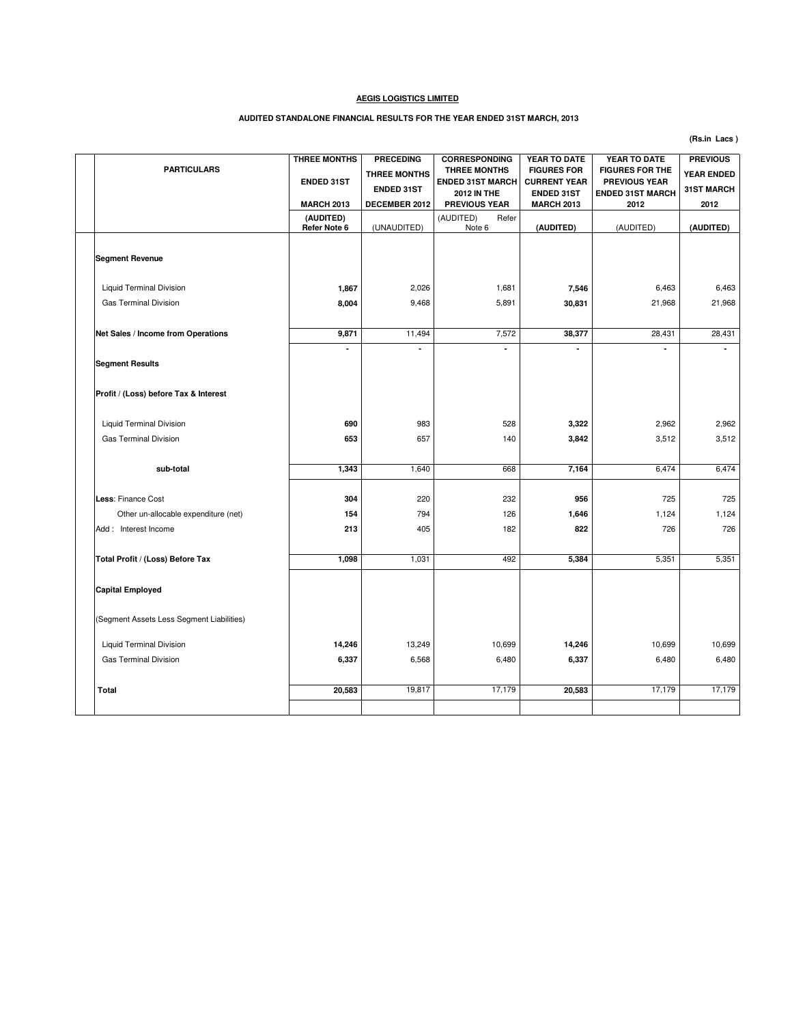#### **AUDITED STANDALONE FINANCIAL RESULTS FOR THE YEAR ENDED 31ST MARCH, 2013**

**PARTICULARS (AUDITED) Refer Note 6** (UNAUDITED) (AUDITED) Refer Note 6 **(AUDITED)** (AUDITED) **(AUDITED) Segment Revenue** Liquid Terminal Division **1,867** 1,681 2,026 **7,546** 6,463 6,463 Gas Terminal Division **8,004** | 9,468 | 5,891 | 21,968 | 21,968 | 21,968 **Net Sales / Income from Operations <b>9,871** 11,494 7,572 38,377 28,431 28,431 28,431  **- - - - - - Segment Results Profit / (Loss) before Tax & Interest** Liquid Terminal Division **690** 528 983 **3,322** 2,962 2,962 Gas Terminal Division **653** | 657 | 140 | **3,842 |** 3,512 | 3,512 **5.474 1,343 1,640 1,640 668 7,164 6,474 6,474 6,474** 6,474 6,474 6,474 6,474 6,474 6,474 6,474 6,474 6,474 6,474 **Less**: Finance Cost **304** 232 220 **956** 725 725 Other un-allocable expenditure (net) **154** 154 **126** 126 1646 1,124 1,124 1,124 1,124 1,124 Add : Interest Income **213** 182 405 **822** 726 726 **Total Profit / (Loss) Before Tax 1,098** 1,031 492 5,384 5,351 5,351 5,351 5,351 **Capital Employed** (Segment Assets Less Segment Liabilities) Liquid Terminal Division **14,246** 10,699 13,249 **14,246** 10,699 10,699 Gas Terminal Division **6.480 6.480 6.480 6.337 6.568 6.480 6.480 6.480 6.480 6.480 6.480 Total 20,583** 19,817 17,179 **20,583** 20,583 17,179 17,179 17,179 **CORRESPONDING THREE MONTHS ENDED 31ST MARCH 2012 IN THE PREVIOUS YEAR YEAR TO DATE FIGURES FOR CURRENT YEAR ENDED 31ST MARCH 2013 THREE MONTHS ENDED 31ST MARCH 2013 PRECEDING THREE MONTHS ENDED 31ST DECEMBER 2012 YEAR TO DATE FIGURES FOR THE PREVIOUS YEAR ENDED 31ST MARCH 2012 PREVIOUS YEAR ENDED 31ST MARCH 2012**

**(Rs.in Lacs )**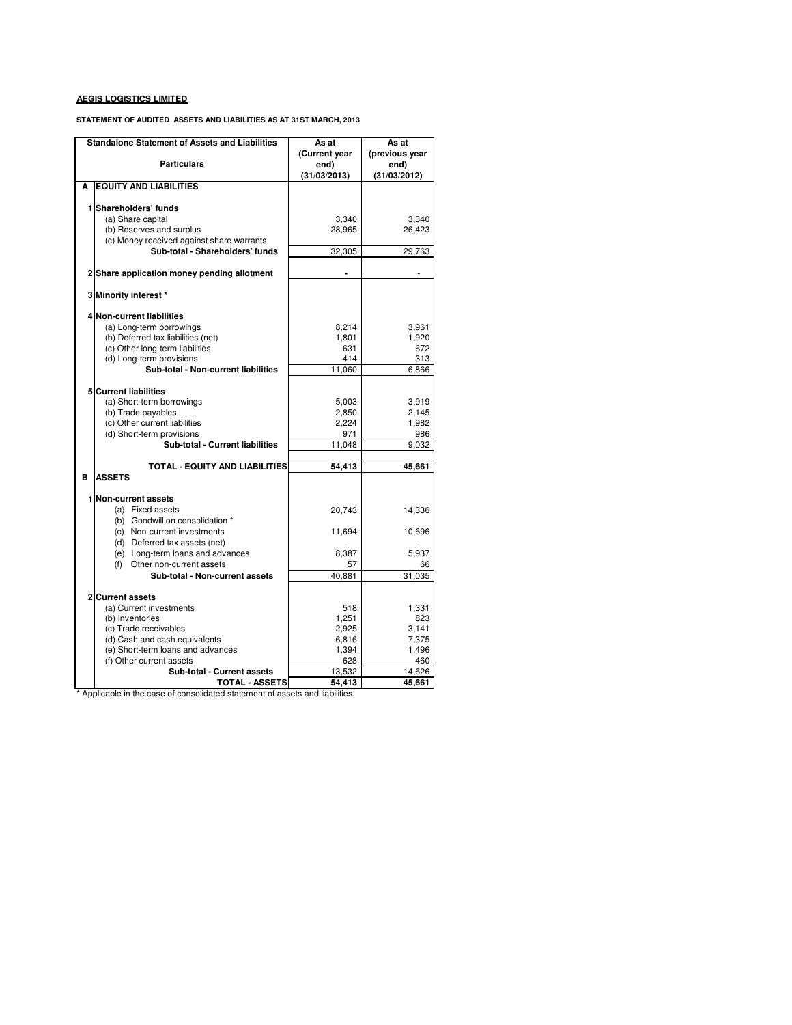**STATEMENT OF AUDITED ASSETS AND LIABILITIES AS AT 31ST MARCH, 2013**

| <b>Standalone Statement of Assets and Liabilities</b>            | As at         | As at          |  |
|------------------------------------------------------------------|---------------|----------------|--|
|                                                                  | (Current year | (previous year |  |
| <b>Particulars</b>                                               | end)          | end)           |  |
|                                                                  | (31/03/2013)  | (31/03/2012)   |  |
| <b>EQUITY AND LIABILITIES</b><br>A                               |               |                |  |
|                                                                  |               |                |  |
| 1 Shareholders' funds                                            |               |                |  |
| (a) Share capital                                                | 3,340         | 3,340          |  |
| (b) Reserves and surplus                                         | 28,965        | 26,423         |  |
| (c) Money received against share warrants                        |               |                |  |
| Sub-total - Shareholders' funds                                  | 32.305        | 29.763         |  |
|                                                                  |               |                |  |
| 2 Share application money pending allotment                      |               |                |  |
|                                                                  |               |                |  |
| 3 Minority interest *                                            |               |                |  |
| <b>Non-current liabilities</b><br>4                              |               |                |  |
| (a) Long-term borrowings                                         | 8,214         | 3,961          |  |
| (b) Deferred tax liabilities (net)                               | 1,801         | 1,920          |  |
| (c) Other long-term liabilities                                  | 631           | 672            |  |
| (d) Long-term provisions                                         | 414           | 313            |  |
| Sub-total - Non-current liabilities                              | 11,060        | 6.866          |  |
|                                                                  |               |                |  |
| <b>Current liabilities</b><br>5                                  |               |                |  |
| (a) Short-term borrowings                                        | 5,003         | 3,919          |  |
| (b) Trade payables                                               | 2,850         | 2,145          |  |
| (c) Other current liabilities                                    | 2,224         | 1,982          |  |
| (d) Short-term provisions                                        | 971           | 986            |  |
| Sub-total - Current liabilities                                  | 11,048        | 9,032          |  |
|                                                                  |               |                |  |
| <b>TOTAL - EQUITY AND LIABILITIES</b>                            | 54,413        | 45,661         |  |
| в<br><b>ASSETS</b>                                               |               |                |  |
|                                                                  |               |                |  |
| 1<br><b>Non-current assets</b>                                   |               |                |  |
| (a) Fixed assets                                                 | 20,743        | 14,336         |  |
| (b) Goodwill on consolidation *                                  |               |                |  |
| (c) Non-current investments                                      | 11,694        | 10,696         |  |
| (d) Deferred tax assets (net)                                    |               | 5,937          |  |
| (e) Long-term loans and advances<br>(f) Other non-current assets | 8,387<br>57   | 66             |  |
| Sub-total - Non-current assets                                   | 40,881        | 31,035         |  |
|                                                                  |               |                |  |
| 2<br><b>Current assets</b>                                       |               |                |  |
| (a) Current investments                                          | 518           | 1,331          |  |
| (b) Inventories                                                  | 1,251         | 823            |  |
| (c) Trade receivables                                            | 2,925         | 3,141          |  |
| (d) Cash and cash equivalents                                    | 6,816         | 7,375          |  |
| (e) Short-term loans and advances                                | 1,394         | 1,496          |  |
| (f) Other current assets                                         | 628           | 460            |  |
| Sub-total - Current assets                                       | 13,532        | 14,626         |  |
| <b>TOTAL - ASSETS</b>                                            | 54,413        | 45,661         |  |

\* Applicable in the case of consolidated statement of assets and liabilities.